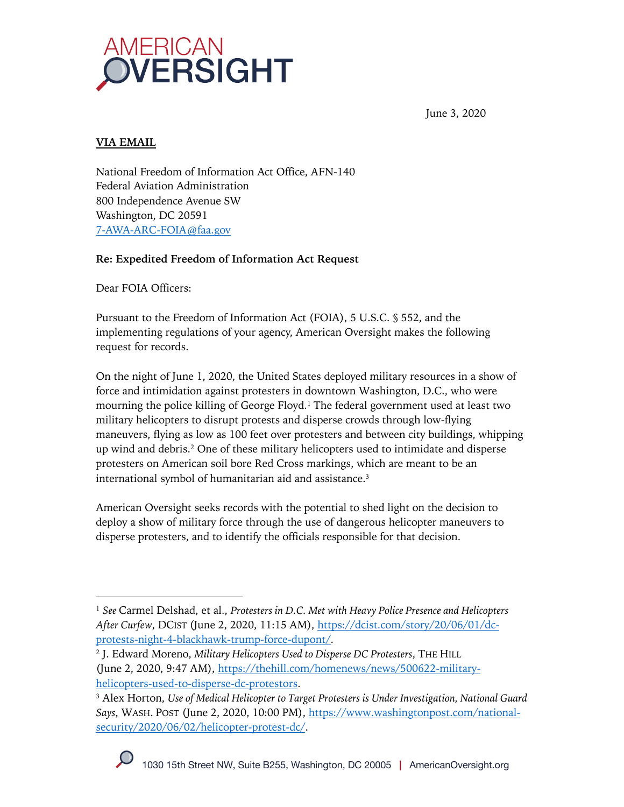

June 3, 2020

## **VIA EMAIL**

National Freedom of Information Act Office, AFN-140 Federal Aviation Administration 800 Independence Avenue SW Washington, DC 20591 7-AWA-ARC-FOIA@faa.gov

#### **Re: Expedited Freedom of Information Act Request**

Dear FOIA Officers:

Pursuant to the Freedom of Information Act (FOIA), 5 U.S.C. § 552, and the implementing regulations of your agency, American Oversight makes the following request for records.

On the night of June 1, 2020, the United States deployed military resources in a show of force and intimidation against protesters in downtown Washington, D.C., who were mourning the police killing of George Floyd.<sup>1</sup> The federal government used at least two military helicopters to disrupt protests and disperse crowds through low-flying maneuvers, flying as low as 100 feet over protesters and between city buildings, whipping up wind and debris.2 One of these military helicopters used to intimidate and disperse protesters on American soil bore Red Cross markings, which are meant to be an international symbol of humanitarian aid and assistance.3

American Oversight seeks records with the potential to shed light on the decision to deploy a show of military force through the use of dangerous helicopter maneuvers to disperse protesters, and to identify the officials responsible for that decision.

<sup>1</sup> *See* Carmel Delshad, et al., *Protesters in D.C. Met with Heavy Police Presence and Helicopters After Curfew*, DCIST (June 2, 2020, 11:15 AM), https://dcist.com/story/20/06/01/dcprotests-night-4-blackhawk-trump-force-dupont/.

<sup>2</sup> J. Edward Moreno, *Military Helicopters Used to Disperse DC Protesters*, THE HILL (June 2, 2020, 9:47 AM), https://thehill.com/homenews/news/500622-militaryhelicopters-used-to-disperse-dc-protestors.

<sup>3</sup> Alex Horton, *Use of Medical Helicopter to Target Protesters is Under Investigation, National Guard Says*, WASH. POST (June 2, 2020, 10:00 PM), https://www.washingtonpost.com/nationalsecurity/2020/06/02/helicopter-protest-dc/.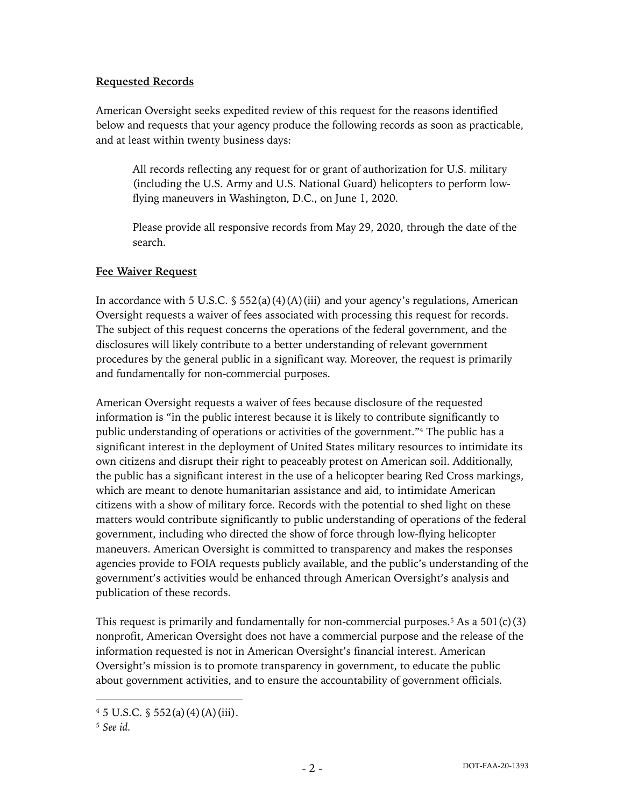#### **Requested Records**

American Oversight seeks expedited review of this request for the reasons identified below and requests that your agency produce the following records as soon as practicable, and at least within twenty business days:

All records reflecting any request for or grant of authorization for U.S. military (including the U.S. Army and U.S. National Guard) helicopters to perform lowflying maneuvers in Washington, D.C., on June 1, 2020.

Please provide all responsive records from May 29, 2020, through the date of the search.

#### **Fee Waiver Request**

In accordance with 5 U.S.C.  $\frac{1}{5}$  552(a)(4)(A)(iii) and your agency's regulations, American Oversight requests a waiver of fees associated with processing this request for records. The subject of this request concerns the operations of the federal government, and the disclosures will likely contribute to a better understanding of relevant government procedures by the general public in a significant way. Moreover, the request is primarily and fundamentally for non-commercial purposes.

American Oversight requests a waiver of fees because disclosure of the requested information is "in the public interest because it is likely to contribute significantly to public understanding of operations or activities of the government."4 The public has a significant interest in the deployment of United States military resources to intimidate its own citizens and disrupt their right to peaceably protest on American soil. Additionally, the public has a significant interest in the use of a helicopter bearing Red Cross markings, which are meant to denote humanitarian assistance and aid, to intimidate American citizens with a show of military force. Records with the potential to shed light on these matters would contribute significantly to public understanding of operations of the federal government, including who directed the show of force through low-flying helicopter maneuvers. American Oversight is committed to transparency and makes the responses agencies provide to FOIA requests publicly available, and the public's understanding of the government's activities would be enhanced through American Oversight's analysis and publication of these records.

This request is primarily and fundamentally for non-commercial purposes.<sup>5</sup> As a  $501(c)(3)$ nonprofit, American Oversight does not have a commercial purpose and the release of the information requested is not in American Oversight's financial interest. American Oversight's mission is to promote transparency in government, to educate the public about government activities, and to ensure the accountability of government officials.

 $4\,5\,$  U.S.C.  $\frac{6}{3}\,552(a)(4)(A)(iii)$ .

<sup>5</sup> *See id.*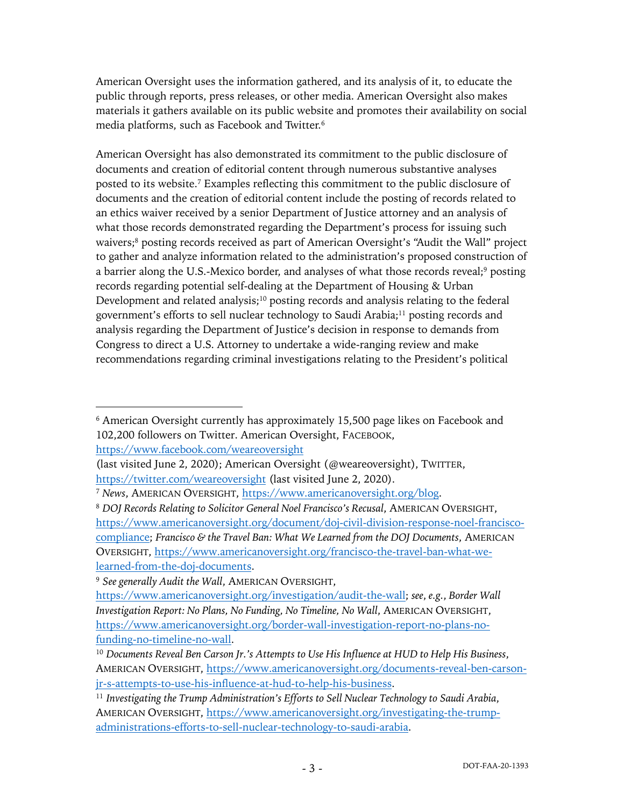American Oversight uses the information gathered, and its analysis of it, to educate the public through reports, press releases, or other media. American Oversight also makes materials it gathers available on its public website and promotes their availability on social media platforms, such as Facebook and Twitter.6

American Oversight has also demonstrated its commitment to the public disclosure of documents and creation of editorial content through numerous substantive analyses posted to its website. <sup>7</sup> Examples reflecting this commitment to the public disclosure of documents and the creation of editorial content include the posting of records related to an ethics waiver received by a senior Department of Justice attorney and an analysis of what those records demonstrated regarding the Department's process for issuing such waivers;<sup>8</sup> posting records received as part of American Oversight's "Audit the Wall" project to gather and analyze information related to the administration's proposed construction of a barrier along the U.S.-Mexico border, and analyses of what those records reveal;9 posting records regarding potential self-dealing at the Department of Housing & Urban Development and related analysis;<sup>10</sup> posting records and analysis relating to the federal government's efforts to sell nuclear technology to Saudi Arabia;<sup>11</sup> posting records and analysis regarding the Department of Justice's decision in response to demands from Congress to direct a U.S. Attorney to undertake a wide-ranging review and make recommendations regarding criminal investigations relating to the President's political

(last visited June 2, 2020); American Oversight (@weareoversight), TWITTER,

<sup>6</sup> American Oversight currently has approximately 15,500 page likes on Facebook and 102,200 followers on Twitter. American Oversight, FACEBOOK, https://www.facebook.com/weareoversight

https://twitter.com/weareoversight (last visited June 2, 2020).

<sup>7</sup> *News*, AMERICAN OVERSIGHT, https://www.americanoversight.org/blog.

<sup>8</sup> *DOJ Records Relating to Solicitor General Noel Francisco's Recusal*, AMERICAN OVERSIGHT, https://www.americanoversight.org/document/doj-civil-division-response-noel-franciscocompliance; *Francisco & the Travel Ban: What We Learned from the DOJ Documents*, AMERICAN OVERSIGHT, https://www.americanoversight.org/francisco-the-travel-ban-what-welearned-from-the-doj-documents.

<sup>9</sup> *See generally Audit the Wall*, AMERICAN OVERSIGHT,

https://www.americanoversight.org/investigation/audit-the-wall; *see*, *e.g.*, *Border Wall Investigation Report: No Plans, No Funding, No Timeline, No Wall*, AMERICAN OVERSIGHT, https://www.americanoversight.org/border-wall-investigation-report-no-plans-nofunding-no-timeline-no-wall.

<sup>10</sup> *Documents Reveal Ben Carson Jr.'s Attempts to Use His Influence at HUD to Help His Business*, AMERICAN OVERSIGHT, https://www.americanoversight.org/documents-reveal-ben-carsonjr-s-attempts-to-use-his-influence-at-hud-to-help-his-business.

<sup>11</sup> *Investigating the Trump Administration's Efforts to Sell Nuclear Technology to Saudi Arabia*, AMERICAN OVERSIGHT, https://www.americanoversight.org/investigating-the-trumpadministrations-efforts-to-sell-nuclear-technology-to-saudi-arabia.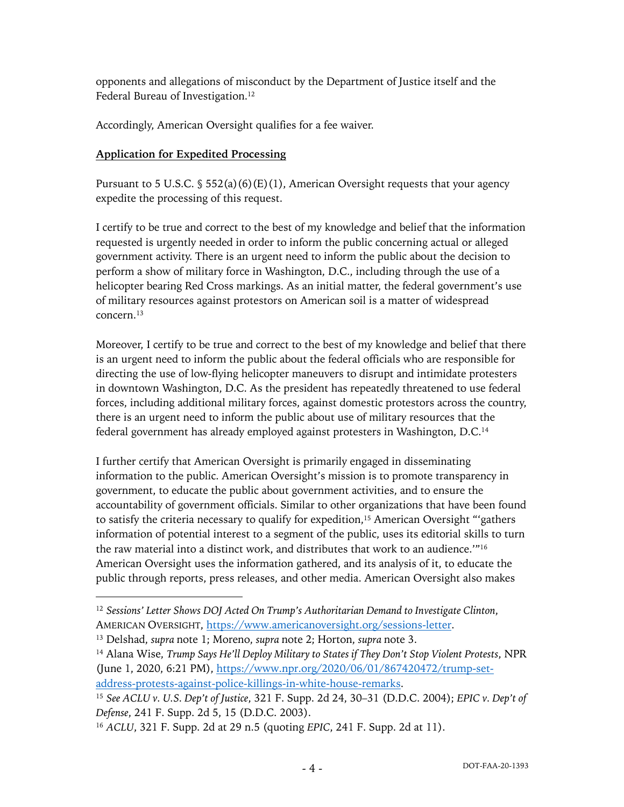opponents and allegations of misconduct by the Department of Justice itself and the Federal Bureau of Investigation.<sup>12</sup>

Accordingly, American Oversight qualifies for a fee waiver.

# **Application for Expedited Processing**

Pursuant to 5 U.S.C.  $\S$  552(a)(6)(E)(1), American Oversight requests that your agency expedite the processing of this request.

I certify to be true and correct to the best of my knowledge and belief that the information requested is urgently needed in order to inform the public concerning actual or alleged government activity. There is an urgent need to inform the public about the decision to perform a show of military force in Washington, D.C., including through the use of a helicopter bearing Red Cross markings. As an initial matter, the federal government's use of military resources against protestors on American soil is a matter of widespread concern.13

Moreover, I certify to be true and correct to the best of my knowledge and belief that there is an urgent need to inform the public about the federal officials who are responsible for directing the use of low-flying helicopter maneuvers to disrupt and intimidate protesters in downtown Washington, D.C. As the president has repeatedly threatened to use federal forces, including additional military forces, against domestic protestors across the country, there is an urgent need to inform the public about use of military resources that the federal government has already employed against protesters in Washington, D.C. 14

I further certify that American Oversight is primarily engaged in disseminating information to the public. American Oversight's mission is to promote transparency in government, to educate the public about government activities, and to ensure the accountability of government officials. Similar to other organizations that have been found to satisfy the criteria necessary to qualify for expedition,<sup>15</sup> American Oversight "'gathers information of potential interest to a segment of the public, uses its editorial skills to turn the raw material into a distinct work, and distributes that work to an audience.'"16 American Oversight uses the information gathered, and its analysis of it, to educate the public through reports, press releases, and other media. American Oversight also makes

<sup>12</sup> *Sessions' Letter Shows DOJ Acted On Trump's Authoritarian Demand to Investigate Clinton*, AMERICAN OVERSIGHT, https://www.americanoversight.org/sessions-letter.

<sup>13</sup> Delshad, *supra* note 1; Moreno, *supra* note 2; Horton, *supra* note 3.

<sup>14</sup> Alana Wise, *Trump Says He'll Deploy Military to States if They Don't Stop Violent Protests*, NPR (June 1, 2020, 6:21 PM), https://www.npr.org/2020/06/01/867420472/trump-setaddress-protests-against-police-killings-in-white-house-remarks.

<sup>15</sup> *See ACLU v. U.S. Dep't of Justice*, 321 F. Supp. 2d 24, 30–31 (D.D.C. 2004); *EPIC v. Dep't of Defense*, 241 F. Supp. 2d 5, 15 (D.D.C. 2003).

<sup>16</sup> *ACLU*, 321 F. Supp. 2d at 29 n.5 (quoting *EPIC*, 241 F. Supp. 2d at 11).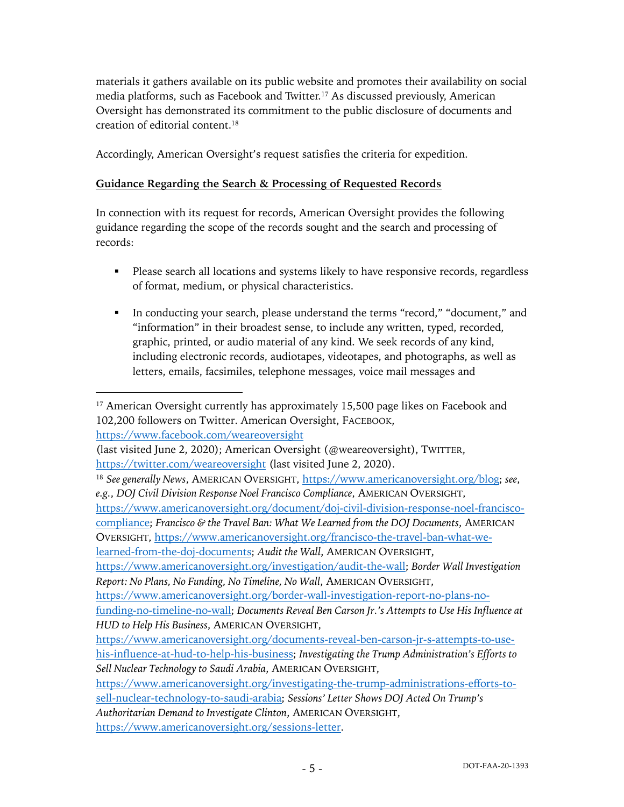materials it gathers available on its public website and promotes their availability on social media platforms, such as Facebook and Twitter.<sup>17</sup> As discussed previously, American Oversight has demonstrated its commitment to the public disclosure of documents and creation of editorial content.18

Accordingly, American Oversight's request satisfies the criteria for expedition.

#### **Guidance Regarding the Search & Processing of Requested Records**

In connection with its request for records, American Oversight provides the following guidance regarding the scope of the records sought and the search and processing of records:

- Please search all locations and systems likely to have responsive records, regardless of format, medium, or physical characteristics.
- § In conducting your search, please understand the terms "record," "document," and "information" in their broadest sense, to include any written, typed, recorded, graphic, printed, or audio material of any kind. We seek records of any kind, including electronic records, audiotapes, videotapes, and photographs, as well as letters, emails, facsimiles, telephone messages, voice mail messages and

https://www.facebook.com/weareoversight

<sup>&</sup>lt;sup>17</sup> American Oversight currently has approximately 15,500 page likes on Facebook and 102,200 followers on Twitter. American Oversight, FACEBOOK,

<sup>(</sup>last visited June 2, 2020); American Oversight (@weareoversight), TWITTER, https://twitter.com/weareoversight (last visited June 2, 2020).

<sup>18</sup> *See generally News*, AMERICAN OVERSIGHT, https://www.americanoversight.org/blog; *see*, *e.g.*, *DOJ Civil Division Response Noel Francisco Compliance*, AMERICAN OVERSIGHT, https://www.americanoversight.org/document/doj-civil-division-response-noel-francisco-

compliance; *Francisco & the Travel Ban: What We Learned from the DOJ Documents*, AMERICAN OVERSIGHT, https://www.americanoversight.org/francisco-the-travel-ban-what-we-

learned-from-the-doj-documents; *Audit the Wall*, AMERICAN OVERSIGHT,

https://www.americanoversight.org/investigation/audit-the-wall; *Border Wall Investigation Report: No Plans, No Funding, No Timeline, No Wall*, AMERICAN OVERSIGHT,

https://www.americanoversight.org/border-wall-investigation-report-no-plans-no-

funding-no-timeline-no-wall; *Documents Reveal Ben Carson Jr.'s Attempts to Use His Influence at HUD to Help His Business*, AMERICAN OVERSIGHT,

https://www.americanoversight.org/documents-reveal-ben-carson-jr-s-attempts-to-usehis-influence-at-hud-to-help-his-business; *Investigating the Trump Administration's Efforts to Sell Nuclear Technology to Saudi Arabia*, AMERICAN OVERSIGHT,

https://www.americanoversight.org/investigating-the-trump-administrations-efforts-tosell-nuclear-technology-to-saudi-arabia; *Sessions' Letter Shows DOJ Acted On Trump's Authoritarian Demand to Investigate Clinton*, AMERICAN OVERSIGHT,

https://www.americanoversight.org/sessions-letter.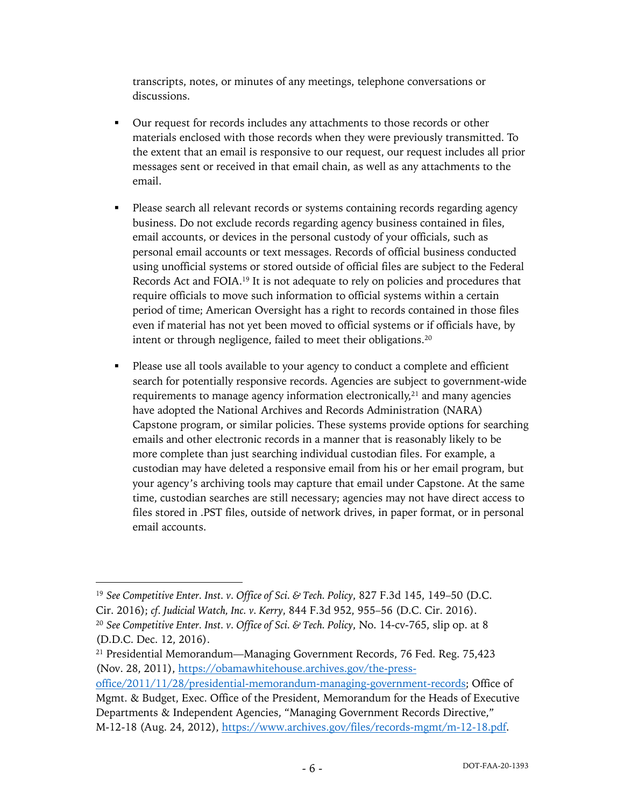transcripts, notes, or minutes of any meetings, telephone conversations or discussions.

- § Our request for records includes any attachments to those records or other materials enclosed with those records when they were previously transmitted. To the extent that an email is responsive to our request, our request includes all prior messages sent or received in that email chain, as well as any attachments to the email.
- Please search all relevant records or systems containing records regarding agency business. Do not exclude records regarding agency business contained in files, email accounts, or devices in the personal custody of your officials, such as personal email accounts or text messages. Records of official business conducted using unofficial systems or stored outside of official files are subject to the Federal Records Act and FOIA.19 It is not adequate to rely on policies and procedures that require officials to move such information to official systems within a certain period of time; American Oversight has a right to records contained in those files even if material has not yet been moved to official systems or if officials have, by intent or through negligence, failed to meet their obligations.20
- Please use all tools available to your agency to conduct a complete and efficient search for potentially responsive records. Agencies are subject to government-wide requirements to manage agency information electronically,<sup>21</sup> and many agencies have adopted the National Archives and Records Administration (NARA) Capstone program, or similar policies. These systems provide options for searching emails and other electronic records in a manner that is reasonably likely to be more complete than just searching individual custodian files. For example, a custodian may have deleted a responsive email from his or her email program, but your agency's archiving tools may capture that email under Capstone. At the same time, custodian searches are still necessary; agencies may not have direct access to files stored in .PST files, outside of network drives, in paper format, or in personal email accounts.

<sup>19</sup> *See Competitive Enter. Inst. v. Office of Sci. & Tech. Policy*, 827 F.3d 145, 149–50 (D.C. Cir. 2016); *cf. Judicial Watch, Inc. v. Kerry*, 844 F.3d 952, 955–56 (D.C. Cir. 2016). <sup>20</sup> *See Competitive Enter. Inst. v. Office of Sci. & Tech. Policy*, No. 14-cv-765, slip op. at 8 (D.D.C. Dec. 12, 2016).

<sup>21</sup> Presidential Memorandum—Managing Government Records, 76 Fed. Reg. 75,423 (Nov. 28, 2011), https://obamawhitehouse.archives.gov/the-press-

office/2011/11/28/presidential-memorandum-managing-government-records; Office of Mgmt. & Budget, Exec. Office of the President, Memorandum for the Heads of Executive Departments & Independent Agencies, "Managing Government Records Directive," M-12-18 (Aug. 24, 2012), https://www.archives.gov/files/records-mgmt/m-12-18.pdf.